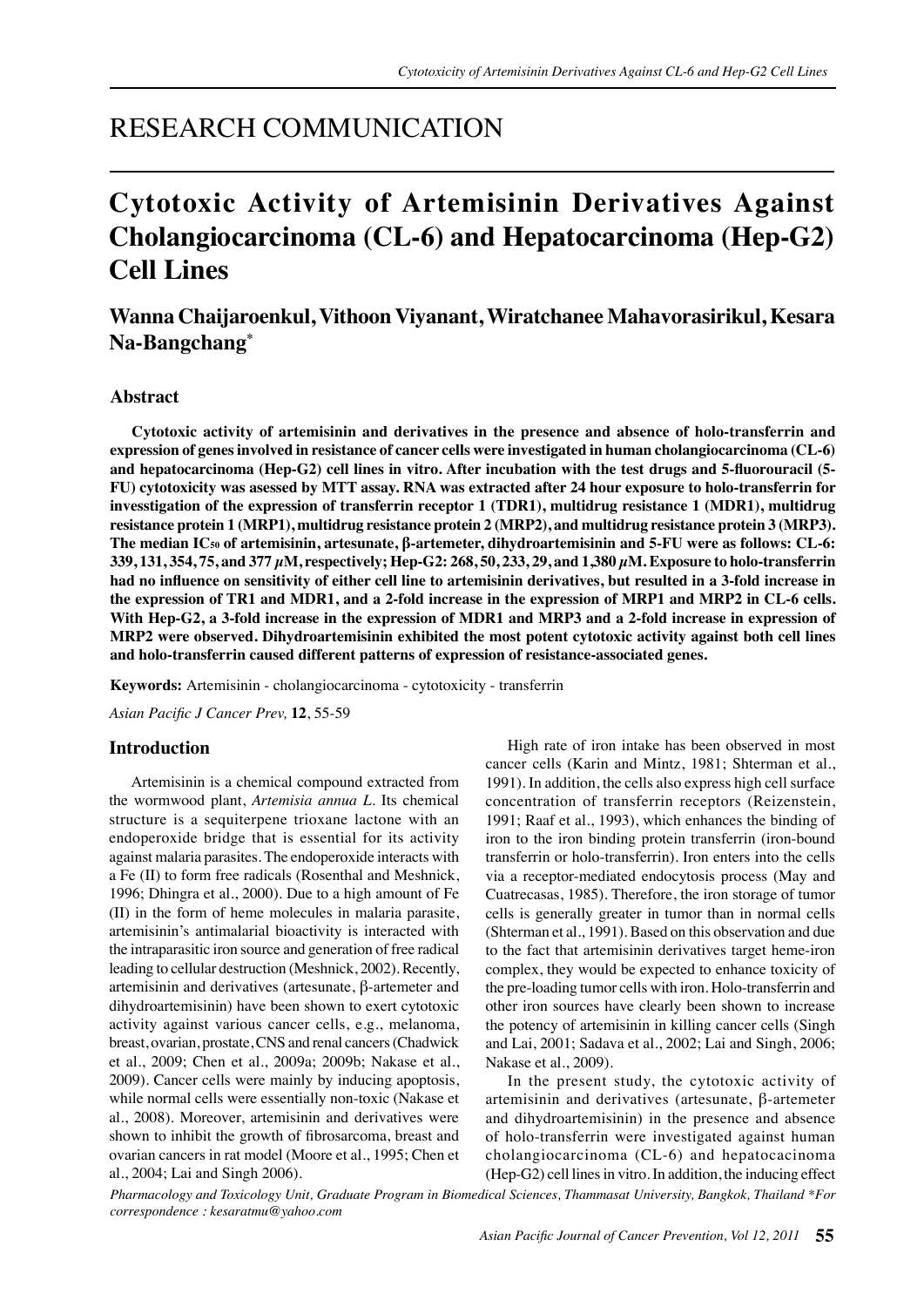# RESEARCH COMMUNICATION

# **Cytotoxic Activity of Artemisinin Derivatives Against Cholangiocarcinoma (CL-6) and Hepatocarcinoma (Hep-G2) Cell Lines**

# **Wanna Chaijaroenkul, Vithoon Viyanant, Wiratchanee Mahavorasirikul, Kesara Na-Bangchang\***

# **Abstract**

**Cytotoxic activity of artemisinin and derivatives in the presence and absence of holo-transferrin and expression of genes involved in resistance of cancer cells were investigated in human cholangiocarcinoma (CL-6) and hepatocarcinoma (Hep-G2) cell lines in vitro. After incubation with the test drugs and 5-fluorouracil (5- FU) cytotoxicity was asessed by MTT assay. RNA was extracted after 24 hour exposure to holo-transferrin for invesstigation of the expression of transferrin receptor 1 (TDR1), multidrug resistance 1 (MDR1), multidrug resistance protein 1 (MRP1), multidrug resistance protein 2 (MRP2), and multidrug resistance protein 3 (MRP3). The median IC50 of artemisinin, artesunate, β-artemeter, dihydroartemisinin and 5-FU were as follows: CL-6: 339, 131, 354, 75, and 377 µM, respectively; Hep-G2: 268, 50, 233, 29, and 1,380 µM. Exposure to holo-transferrin had no influence on sensitivity of either cell line to artemisinin derivatives, but resulted in a 3-fold increase in the expression of TR1 and MDR1, and a 2-fold increase in the expression of MRP1 and MRP2 in CL-6 cells.**  With Hep-G2, a 3-fold increase in the expression of MDR1 and MRP3 and a 2-fold increase in expression of **MRP2 were observed. Dihydroartemisinin exhibited the most potent cytotoxic activity against both cell lines and holo-transferrin caused different patterns of expression of resistance-associated genes.**

**Keywords:** Artemisinin - cholangiocarcinoma - cytotoxicity - transferrin

*Asian Pacific J Cancer Prev,* **12**, 55-59

## **Introduction**

Artemisinin is a chemical compound extracted from the wormwood plant, *Artemisia annua L*. Its chemical structure is a sequiterpene trioxane lactone with an endoperoxide bridge that is essential for its activity against malaria parasites. The endoperoxide interacts with a Fe (II) to form free radicals (Rosenthal and Meshnick, 1996; Dhingra et al., 2000). Due to a high amount of Fe (II) in the form of heme molecules in malaria parasite, artemisinin's antimalarial bioactivity is interacted with the intraparasitic iron source and generation of free radical leading to cellular destruction (Meshnick, 2002). Recently, artemisinin and derivatives (artesunate, β-artemeter and dihydroartemisinin) have been shown to exert cytotoxic activity against various cancer cells, e.g., melanoma, breast, ovarian, prostate, CNS and renal cancers (Chadwick et al., 2009; Chen et al., 2009a; 2009b; Nakase et al., 2009). Cancer cells were mainly by inducing apoptosis, while normal cells were essentially non-toxic (Nakase et al., 2008). Moreover, artemisinin and derivatives were shown to inhibit the growth of fibrosarcoma, breast and ovarian cancers in rat model (Moore et al., 1995; Chen et al., 2004; Lai and Singh 2006).

High rate of iron intake has been observed in most cancer cells (Karin and Mintz, 1981; Shterman et al., 1991). In addition, the cells also express high cell surface concentration of transferrin receptors (Reizenstein, 1991; Raaf et al., 1993), which enhances the binding of iron to the iron binding protein transferrin (iron-bound transferrin or holo-transferrin). Iron enters into the cells via a receptor-mediated endocytosis process (May and Cuatrecasas, 1985). Therefore, the iron storage of tumor cells is generally greater in tumor than in normal cells (Shterman et al., 1991). Based on this observation and due to the fact that artemisinin derivatives target heme-iron complex, they would be expected to enhance toxicity of the pre-loading tumor cells with iron. Holo-transferrin and other iron sources have clearly been shown to increase the potency of artemisinin in killing cancer cells (Singh and Lai, 2001; Sadava et al., 2002; Lai and Singh, 2006; Nakase et al., 2009).

In the present study, the cytotoxic activity of artemisinin and derivatives (artesunate, β-artemeter and dihydroartemisinin) in the presence and absence of holo-transferrin were investigated against human cholangiocarcinoma (CL-6) and hepatocacinoma (Hep-G2) cell lines in vitro. In addition, the inducing effect

*Pharmacology and Toxicology Unit, Graduate Program in Biomedical Sciences, Thammasat University, Bangkok, Thailand \*For correspondence : kesaratmu@yahoo.com*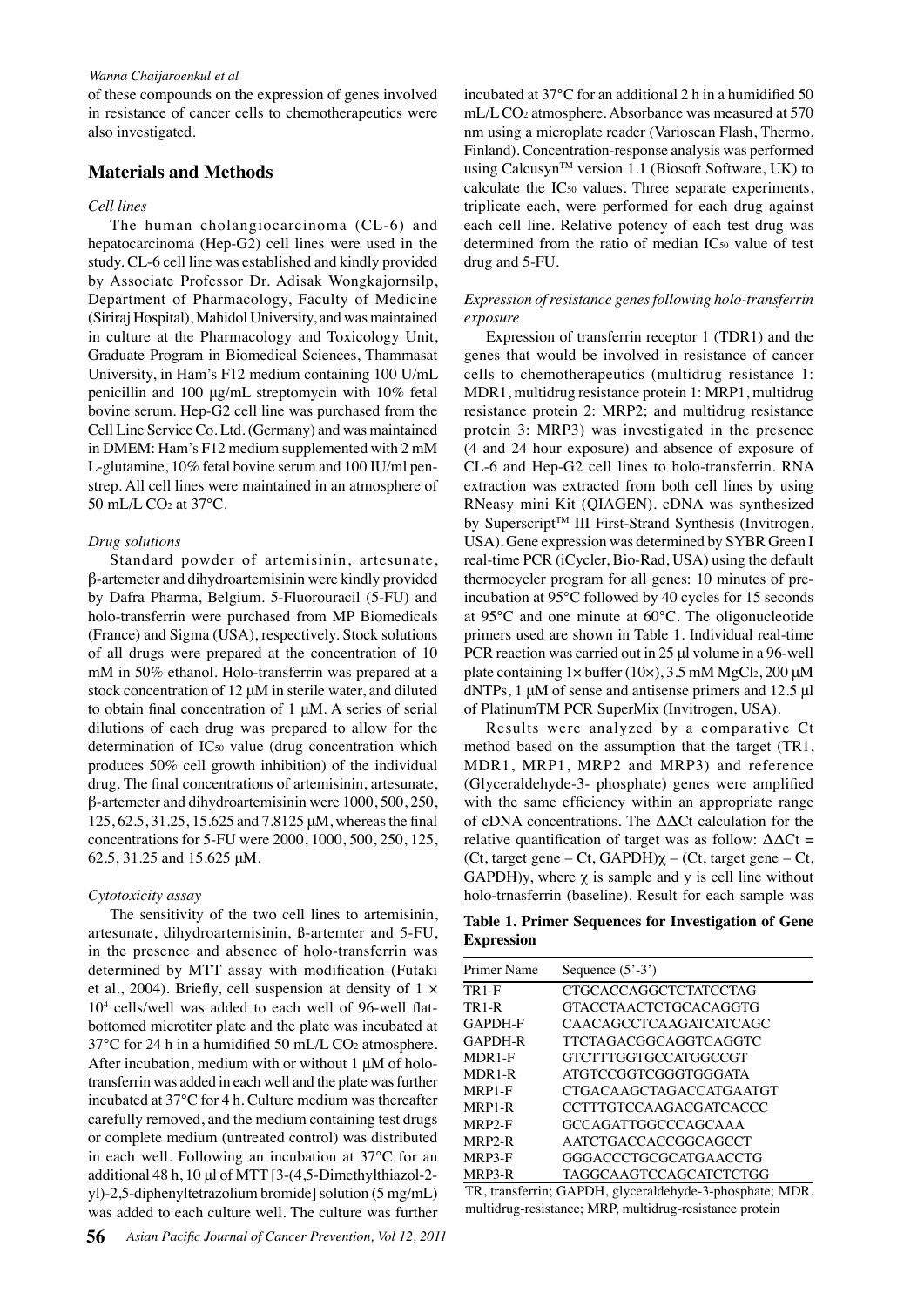#### *Wanna Chaijaroenkul et al*

of these compounds on the expression of genes involved in resistance of cancer cells to chemotherapeutics were also investigated.

# **Materials and Methods**

#### *Cell lines*

The human cholangiocarcinoma (CL-6) and hepatocarcinoma (Hep-G2) cell lines were used in the study. CL-6 cell line was established and kindly provided by Associate Professor Dr. Adisak Wongkajornsilp, Department of Pharmacology, Faculty of Medicine (Siriraj Hospital), Mahidol University, and was maintained in culture at the Pharmacology and Toxicology Unit, Graduate Program in Biomedical Sciences, Thammasat University, in Ham's F12 medium containing 100 U/mL penicillin and 100 μg/mL streptomycin with 10% fetal bovine serum. Hep-G2 cell line was purchased from the Cell Line Service Co. Ltd. (Germany) and was maintained in DMEM: Ham's F12 medium supplemented with 2 mM L-glutamine, 10% fetal bovine serum and 100 IU/ml penstrep. All cell lines were maintained in an atmosphere of 50 mL/L CO2 at 37°C.

#### *Drug solutions*

Standard powder of artemisinin, artesunate, β-artemeter and dihydroartemisinin were kindly provided by Dafra Pharma, Belgium. 5-Fluorouracil (5-FU) and holo-transferrin were purchased from MP Biomedicals (France) and Sigma (USA), respectively. Stock solutions of all drugs were prepared at the concentration of 10 mM in 50% ethanol. Holo-transferrin was prepared at a stock concentration of 12 μM in sterile water, and diluted to obtain final concentration of 1 μM. A series of serial dilutions of each drug was prepared to allow for the determination of IC50 value (drug concentration which produces 50% cell growth inhibition) of the individual drug. The final concentrations of artemisinin, artesunate, β-artemeter and dihydroartemisinin were 1000, 500, 250, 125, 62.5, 31.25, 15.625 and 7.8125 μM, whereas the final concentrations for 5-FU were 2000, 1000, 500, 250, 125, 62.5, 31.25 and 15.625 μM.

#### *Cytotoxicity assay*

The sensitivity of the two cell lines to artemisinin, artesunate, dihydroartemisinin, ß-artemter and 5-FU, in the presence and absence of holo-transferrin was determined by MTT assay with modification (Futaki et al., 2004). Briefly, cell suspension at density of  $1 \times$ 104 cells/well was added to each well of 96-well flatbottomed microtiter plate and the plate was incubated at 37°C for 24 h in a humidified 50 mL/L CO2 atmosphere. After incubation, medium with or without 1 μM of holotransferrin was added in each well and the plate was further incubated at 37°C for 4 h. Culture medium was thereafter carefully removed, and the medium containing test drugs or complete medium (untreated control) was distributed in each well. Following an incubation at 37°C for an additional 48 h, 10 μl of MTT [3-(4,5-Dimethylthiazol-2 yl)-2,5-diphenyltetrazolium bromide] solution (5 mg/mL) was added to each culture well. The culture was further

incubated at 37°C for an additional 2 h in a humidified 50 mL/L CO2 atmosphere. Absorbance was measured at 570 nm using a microplate reader (Varioscan Flash, Thermo, Finland). Concentration-response analysis was performed using Calcusyn<sup>TM</sup> version 1.1 (Biosoft Software, UK) to calculate the IC50 values. Three separate experiments, triplicate each, were performed for each drug against each cell line. Relative potency of each test drug was determined from the ratio of median IC<sub>50</sub> value of test drug and 5-FU.

# *Expression of resistance genes following holo-transferrin exposure*

Expression of transferrin receptor 1 (TDR1) and the genes that would be involved in resistance of cancer cells to chemotherapeutics (multidrug resistance 1: MDR1, multidrug resistance protein 1: MRP1, multidrug resistance protein 2: MRP2; and multidrug resistance protein 3: MRP3) was investigated in the presence (4 and 24 hour exposure) and absence of exposure of CL-6 and Hep-G2 cell lines to holo-transferrin. RNA extraction was extracted from both cell lines by using RNeasy mini Kit (QIAGEN). cDNA was synthesized by Superscript<sup>TM</sup> III First-Strand Synthesis (Invitrogen, USA). Gene expression was determined by SYBR Green I real-time PCR (iCycler, Bio-Rad, USA) using the default thermocycler program for all genes: 10 minutes of preincubation at 95°C followed by 40 cycles for 15 seconds at 95°C and one minute at 60°C. The oligonucleotide primers used are shown in Table 1. Individual real-time PCR reaction was carried out in 25 μl volume in a 96-well plate containing  $1 \times$  buffer (10 $\times$ ), 3.5 mM MgCl<sub>2</sub>, 200  $\mu$ M dNTPs, 1 μM of sense and antisense primers and 12.5 μl of PlatinumTM PCR SuperMix (Invitrogen, USA).

Results were analyzed by a comparative Ct method based on the assumption that the target (TR1, MDR1, MRP1, MRP2 and MRP3) and reference (Glyceraldehyde-3- phosphate) genes were amplified with the same efficiency within an appropriate range of cDNA concentrations. The ΔΔCt calculation for the relative quantification of target was as follow:  $\Delta \Delta \text{C}_1$  = (Ct, target gene – Ct,  $GAPDH$ ) $\gamma$  – (Ct, target gene – Ct, GAPDH)y, where  $\chi$  is sample and y is cell line without holo-trnasferrin (baseline). Result for each sample was

**Table 1. Primer Sequences for Investigation of Gene Expression** 

| Primer Name | Sequence $(5^{\prime}$ -3') |
|-------------|-----------------------------|
| TR1-F       | CTGCACCAGGCTCTATCCTAG       |
| TR 1-R      | GTACCTAACTCTGCACAGGTG       |
| GAPDH-F     | CAACAGCCTCAAGATCATCAGC      |
| GAPDH-R     | TTCTAGACGGCAGGTCAGGTC       |
| MDR1-F      | GTCTTTGGTGCCATGGCCGT        |
| MDR1-R      | ATGTCCGGTCGGGTGGGATA        |
| MRP1-F      | CTGACAAGCTAGACCATGAATGT     |
| MRP1-R      | CCTTTGTCCAAGACGATCACCC      |
| MRP2-F      | GCCAGATTGGCCCAGCAAA         |
| MRP2-R      | AATCTGACCACCGGCAGCCT        |
| MRP3-F      | GGGACCCTGCGCATGAACCTG       |
| MRP3-R      | TAGGCAAGTCCAGCATCTCTGG      |

TR, transferrin; GAPDH, glyceraldehyde-3-phosphate; MDR, multidrug-resistance; MRP, multidrug-resistance protein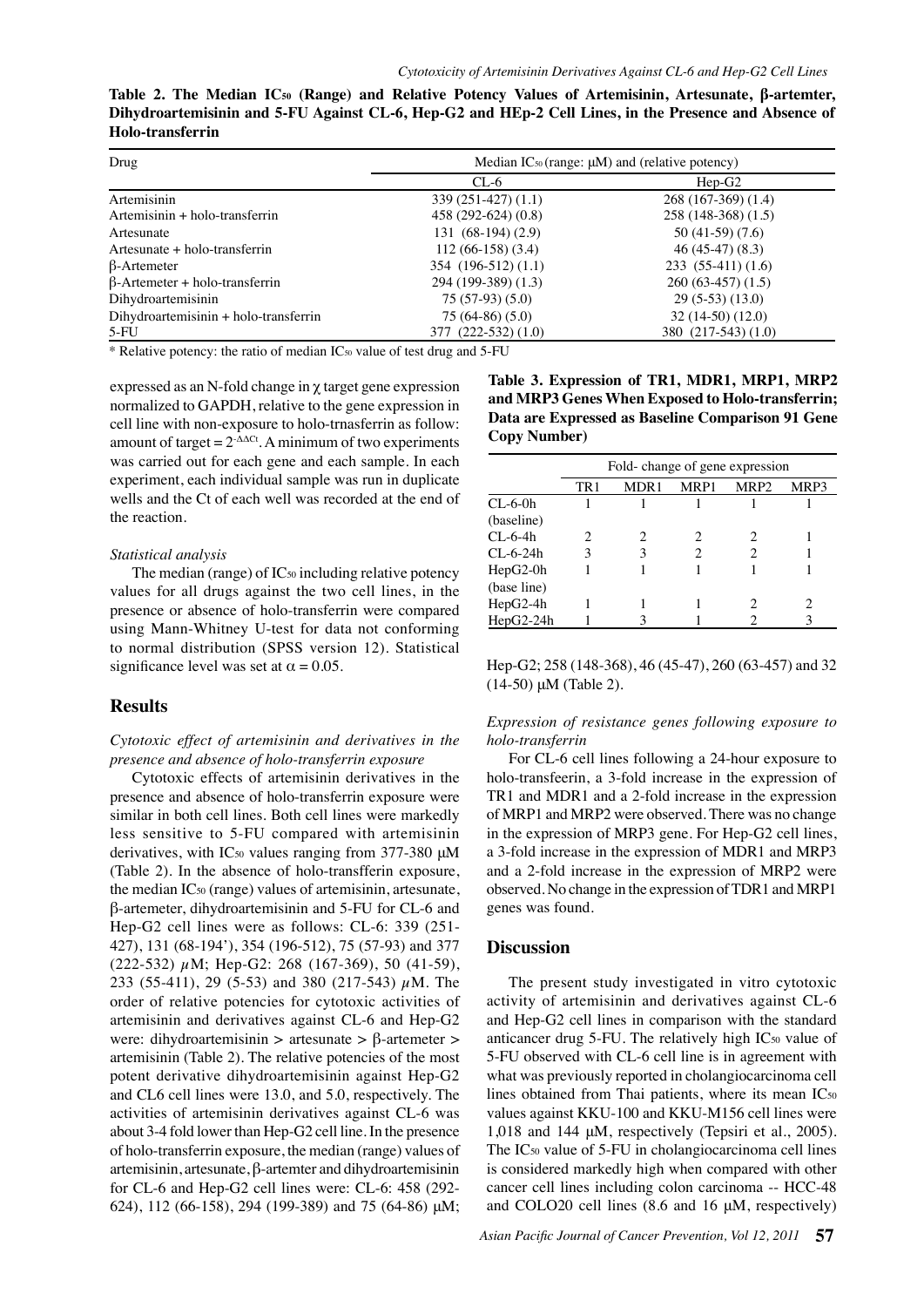| Table 2. The Median IC <sub>50</sub> (Range) and Relative Potency Values of Artemisinin, Artesunate, β-artemter, |  |
|------------------------------------------------------------------------------------------------------------------|--|
| Dihydroartemisinin and 5-FU Against CL-6, Hep-G2 and HEp-2 Cell Lines, in the Presence and Absence of            |  |
| Holo-transferrin                                                                                                 |  |

| Drug                                  | Median IC <sub>50</sub> (range: µM) and (relative potency) |                     |  |  |  |
|---------------------------------------|------------------------------------------------------------|---------------------|--|--|--|
|                                       | $CL-6$                                                     | $Hep-G2$            |  |  |  |
| Artemisinin                           | $339(251-427)(1.1)$                                        | $268(167-369)(1.4)$ |  |  |  |
| Artemisinin + holo-transferrin        | $458(292-624)(0.8)$                                        | $258(148-368)(1.5)$ |  |  |  |
| Artesunate                            | $131(68-194)(2.9)$                                         | $50(41-59)(7.6)$    |  |  |  |
| Artesunate + holo-transferrin         | $112(66-158)(3.4)$                                         | $46(45-47)(8.3)$    |  |  |  |
| $\beta$ -Artemeter                    | 354 (196-512) (1.1)                                        | $233(55-411)(1.6)$  |  |  |  |
| $\beta$ -Artemeter + holo-transferrin | 294 (199-389) (1.3)                                        | $260(63-457)(1.5)$  |  |  |  |
| Dihydroartemisinin                    | $75(57-93)(5.0)$                                           | $29(5-53)(13.0)$    |  |  |  |
| Dihydroartemisinin + holo-transferrin | $75(64-86)(5.0)$                                           | $32(14-50)(12.0)$   |  |  |  |
| $5-FU$                                | $377(222-532)(1.0)$                                        | 380 (217-543) (1.0) |  |  |  |

\* Relative potency: the ratio of median IC50 value of test drug and 5-FU

expressed as an N-fold change in  $\chi$  target gene expression normalized to GAPDH, relative to the gene expression in cell line with non-exposure to holo-trnasferrin as follow: amount of target =  $2$ <sup>- $\Delta \Delta$ Ct</sup>. A minimum of two experiments was carried out for each gene and each sample. In each experiment, each individual sample was run in duplicate wells and the Ct of each well was recorded at the end of the reaction.

### *Statistical analysis*

The median (range) of IC<sub>50</sub> including relative potency values for all drugs against the two cell lines, in the presence or absence of holo-transferrin were compared using Mann-Whitney U-test for data not conforming to normal distribution (SPSS version 12). Statistical significance level was set at  $\alpha = 0.05$ .

# **Results**

*Cytotoxic effect of artemisinin and derivatives in the presence and absence of holo-transferrin exposure* 

Cytotoxic effects of artemisinin derivatives in the presence and absence of holo-transferrin exposure were similar in both cell lines. Both cell lines were markedly less sensitive to 5-FU compared with artemisinin derivatives, with IC<sub>50</sub> values ranging from 377-380 μM (Table 2). In the absence of holo-transfferin exposure, the median IC50 (range) values of artemisinin, artesunate, β-artemeter, dihydroartemisinin and 5-FU for CL-6 and Hep-G2 cell lines were as follows: CL-6: 339 (251- 427), 131 (68-194'), 354 (196-512), 75 (57-93) and 377 (222-532) µM; Hep-G2: 268 (167-369), 50 (41-59), 233 (55-411), 29 (5-53) and 380 (217-543)  $\mu$ M. The order of relative potencies for cytotoxic activities of artemisinin and derivatives against CL-6 and Hep-G2 were: dihydroartemisinin > artesunate >  $\beta$ -artemeter > artemisinin (Table 2). The relative potencies of the most potent derivative dihydroartemisinin against Hep-G2 and CL6 cell lines were 13.0, and 5.0, respectively. The activities of artemisinin derivatives against CL-6 was about 3-4 fold lower than Hep-G2 cell line. In the presence of holo-transferrin exposure, the median (range) values of artemisinin, artesunate, β-artemter and dihydroartemisinin for CL-6 and Hep-G2 cell lines were: CL-6: 458 (292- 624), 112 (66-158), 294 (199-389) and 75 (64-86) μM; **Table 3. Expression of TR1, MDR1, MRP1, MRP2 and MRP3 Genes When Exposed to Holo-transferrin; Data are Expressed as Baseline Comparison 91 Gene Copy Number)**

|             | Fold-change of gene expression |      |      |                  | 100.0 |      |
|-------------|--------------------------------|------|------|------------------|-------|------|
|             | TR1                            | MDR1 | MRP1 | MRP <sub>2</sub> | MRP3  |      |
| $CL-6-0h$   |                                |      |      |                  |       |      |
| (baseline)  |                                |      |      |                  |       |      |
| CL-6-4h     | 2                              | 2    |      |                  |       | 75.0 |
| CL-6-24h    | 3                              | 3    |      |                  |       |      |
| $HepG2-0h$  |                                |      |      |                  |       |      |
| (base line) |                                |      |      |                  |       |      |
| HepG2-4h    |                                |      |      |                  |       | 50.0 |
| HepG2-24h   |                                | 3    |      |                  |       |      |

Hep-G2; 258 (148-368), 46 (45-47), 260 (63-457) and 32 25.0 (14-50) μM (Table 2).

 $\theta$ *Expression of resistance genes following exposure to holo-transferrin*

For CL-6 cell lines following a 24-hour exposure to holo-transfeerin, a 3-fold increase in the expression of TR1 and MDR1 and a 2-fold increase in the expression of MRP1 and MRP2 were observed. There was no change in the expression of MRP3 gene. For Hep-G2 cell lines, a 3-fold increase in the expression of MDR1 and MRP3 and a 2-fold increase in the expression of MRP2 were observed. No change in the expression of TDR1 and MRP1 genes was found.

# **Discussion**

The present study investigated in vitro cytotoxic activity of artemisinin and derivatives against CL-6 and Hep-G2 cell lines in comparison with the standard anticancer drug 5-FU. The relatively high IC<sub>50</sub> value of 5-FU observed with CL-6 cell line is in agreement with what was previously reported in cholangiocarcinoma cell lines obtained from Thai patients, where its mean IC50 values against KKU-100 and KKU-M156 cell lines were 1,018 and 144 μM, respectively (Tepsiri et al., 2005). The IC<sub>50</sub> value of 5-FU in cholangiocarcinoma cell lines is considered markedly high when compared with other cancer cell lines including colon carcinoma -- HCC-48 and COLO20 cell lines (8.6 and 16 μM, respectively)

**20.3 6.3 10.1**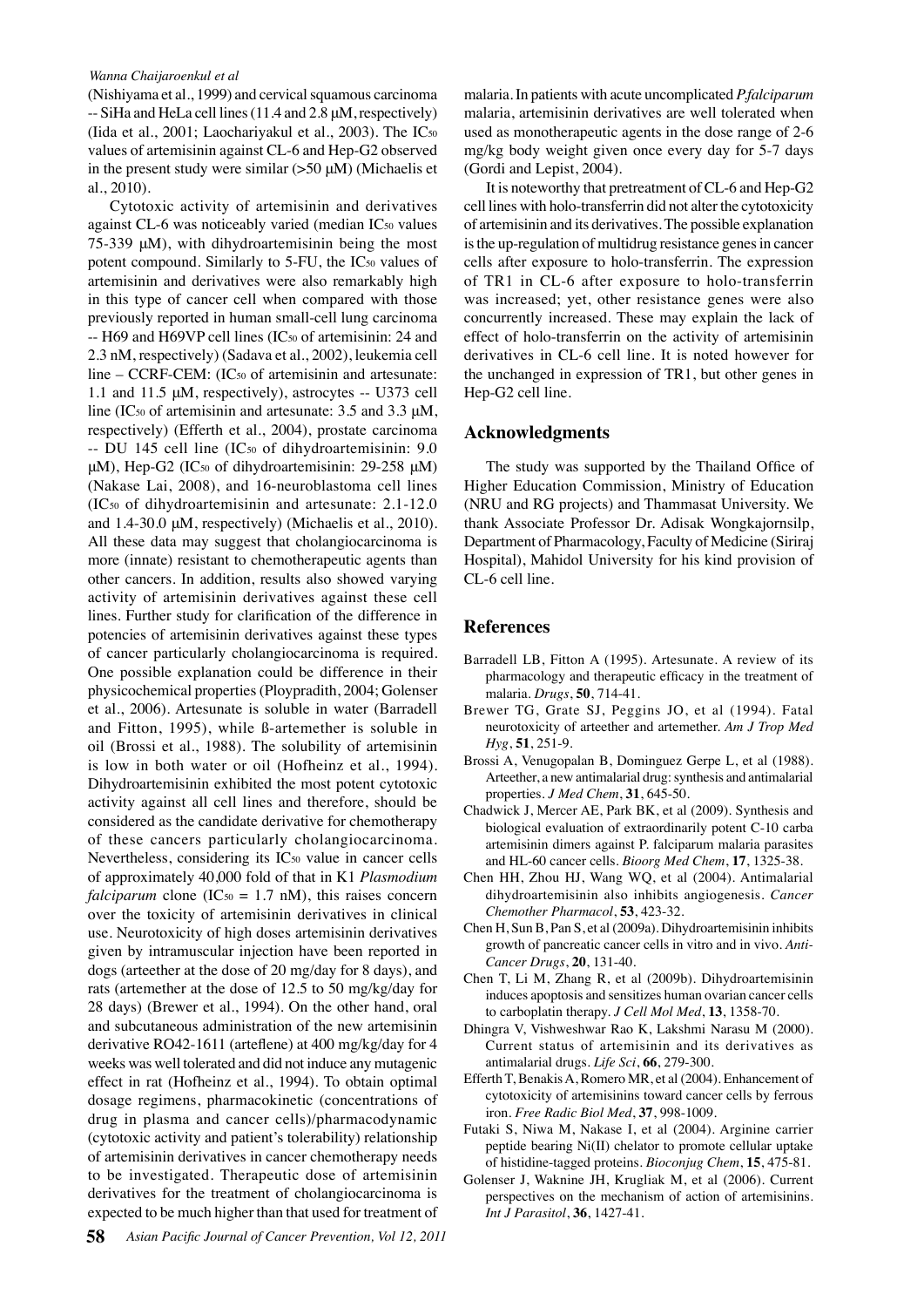#### *Wanna Chaijaroenkul et al*

(Nishiyama et al., 1999) and cervical squamous carcinoma -- SiHa and HeLa cell lines (11.4 and 2.8 μM, respectively) (Iida et al., 2001; Laochariyakul et al., 2003). The IC50 values of artemisinin against CL-6 and Hep-G2 observed in the present study were similar  $(>50 \mu M)$  (Michaelis et al., 2010).

Cytotoxic activity of artemisinin and derivatives against CL-6 was noticeably varied (median IC<sub>50</sub> values  $75-339 \mu M$ ), with dihydroartemisinin being the most potent compound. Similarly to 5-FU, the IC50 values of artemisinin and derivatives were also remarkably high in this type of cancer cell when compared with those previously reported in human small-cell lung carcinoma -- H69 and H69VP cell lines (IC<sub>50</sub> of artemisinin: 24 and 2.3 nM, respectively) (Sadava et al., 2002), leukemia cell line – CCRF-CEM: (IC50 of artemisinin and artesunate: 1.1 and 11.5 μM, respectively), astrocytes -- U373 cell line (IC<sub>50</sub> of artemisinin and artesunate:  $3.5$  and  $3.3 \mu$ M, respectively) (Efferth et al., 2004), prostate carcinoma -- DU 145 cell line (IC<sub>50</sub> of dihydroartemisinin: 9.0 μM), Hep-G2 (IC<sub>50</sub> of dihydroartemisinin: 29-258 μM) (Nakase Lai, 2008), and 16-neuroblastoma cell lines (IC50 of dihydroartemisinin and artesunate: 2.1-12.0 and 1.4-30.0 μM, respectively) (Michaelis et al., 2010). All these data may suggest that cholangiocarcinoma is more (innate) resistant to chemotherapeutic agents than other cancers. In addition, results also showed varying activity of artemisinin derivatives against these cell lines. Further study for clarification of the difference in potencies of artemisinin derivatives against these types of cancer particularly cholangiocarcinoma is required. One possible explanation could be difference in their physicochemical properties (Ploypradith, 2004; Golenser et al., 2006). Artesunate is soluble in water (Barradell and Fitton, 1995), while ß-artemether is soluble in oil (Brossi et al., 1988). The solubility of artemisinin is low in both water or oil (Hofheinz et al., 1994). Dihydroartemisinin exhibited the most potent cytotoxic activity against all cell lines and therefore, should be considered as the candidate derivative for chemotherapy of these cancers particularly cholangiocarcinoma. Nevertheless, considering its IC<sub>50</sub> value in cancer cells of approximately 40,000 fold of that in K1 *Plasmodium falciparum* clone (IC<sub>50</sub> = 1.7 nM), this raises concern over the toxicity of artemisinin derivatives in clinical use. Neurotoxicity of high doses artemisinin derivatives given by intramuscular injection have been reported in dogs (arteether at the dose of 20 mg/day for 8 days), and rats (artemether at the dose of 12.5 to 50 mg/kg/day for 28 days) (Brewer et al., 1994). On the other hand, oral and subcutaneous administration of the new artemisinin derivative RO42-1611 (arteflene) at 400 mg/kg/day for 4 weeks was well tolerated and did not induce any mutagenic effect in rat (Hofheinz et al., 1994). To obtain optimal dosage regimens, pharmacokinetic (concentrations of drug in plasma and cancer cells)/pharmacodynamic (cytotoxic activity and patient's tolerability) relationship of artemisinin derivatives in cancer chemotherapy needs to be investigated. Therapeutic dose of artemisinin derivatives for the treatment of cholangiocarcinoma is expected to be much higher than that used for treatment of malaria. In patients with acute uncomplicated *P.falciparum* malaria, artemisinin derivatives are well tolerated when used as monotherapeutic agents in the dose range of 2-6 mg/kg body weight given once every day for 5-7 days (Gordi and Lepist, 2004).

It is noteworthy that pretreatment of CL-6 and Hep-G2 cell lines with holo-transferrin did not alter the cytotoxicity of artemisinin and its derivatives. The possible explanation is the up-regulation of multidrug resistance genes in cancer cells after exposure to holo-transferrin. The expression of TR1 in CL-6 after exposure to holo-transferrin was increased; yet, other resistance genes were also concurrently increased. These may explain the lack of effect of holo-transferrin on the activity of artemisinin derivatives in CL-6 cell line. It is noted however for the unchanged in expression of TR1, but other genes in Hep-G2 cell line.

# **Acknowledgments**

The study was supported by the Thailand Office of Higher Education Commission, Ministry of Education (NRU and RG projects) and Thammasat University. We thank Associate Professor Dr. Adisak Wongkajornsilp, Department of Pharmacology, Faculty of Medicine (Siriraj Hospital), Mahidol University for his kind provision of CL-6 cell line.

# **References**

- Barradell LB, Fitton A (1995). Artesunate. A review of its pharmacology and therapeutic efficacy in the treatment of malaria. *Drugs*, **50**, 714-41.
- Brewer TG, Grate SJ, Peggins JO, et al (1994). Fatal neurotoxicity of arteether and artemether. *Am J Trop Med Hyg*, **51**, 251-9.
- Brossi A, Venugopalan B, Dominguez Gerpe L, et al (1988). Arteether, a new antimalarial drug: synthesis and antimalarial properties. *J Med Chem*, **31**, 645-50.
- Chadwick J, Mercer AE, Park BK, et al (2009). Synthesis and biological evaluation of extraordinarily potent C-10 carba artemisinin dimers against P. falciparum malaria parasites and HL-60 cancer cells. *Bioorg Med Chem*, **17**, 1325-38.
- Chen HH, Zhou HJ, Wang WQ, et al (2004). Antimalarial dihydroartemisinin also inhibits angiogenesis. *Cancer Chemother Pharmacol*, **53**, 423-32.
- Chen H, Sun B, Pan S, et al (2009a). Dihydroartemisinin inhibits growth of pancreatic cancer cells in vitro and in vivo. *Anti-Cancer Drugs*, **20**, 131-40.
- Chen T, Li M, Zhang R, et al (2009b). Dihydroartemisinin induces apoptosis and sensitizes human ovarian cancer cells to carboplatin therapy. *J Cell Mol Med*, **13**, 1358-70.
- Dhingra V, Vishweshwar Rao K, Lakshmi Narasu M (2000). Current status of artemisinin and its derivatives as antimalarial drugs. *Life Sci*, **66**, 279-300.
- Efferth T, Benakis A, Romero MR, et al (2004). Enhancement of cytotoxicity of artemisinins toward cancer cells by ferrous iron. *Free Radic Biol Med*, **37**, 998-1009.
- Futaki S, Niwa M, Nakase I, et al (2004). Arginine carrier peptide bearing Ni(II) chelator to promote cellular uptake of histidine-tagged proteins. *Bioconjug Chem*, **15**, 475-81.
- Golenser J, Waknine JH, Krugliak M, et al (2006). Current perspectives on the mechanism of action of artemisinins. *Int J Parasitol*, **36**, 1427-41.